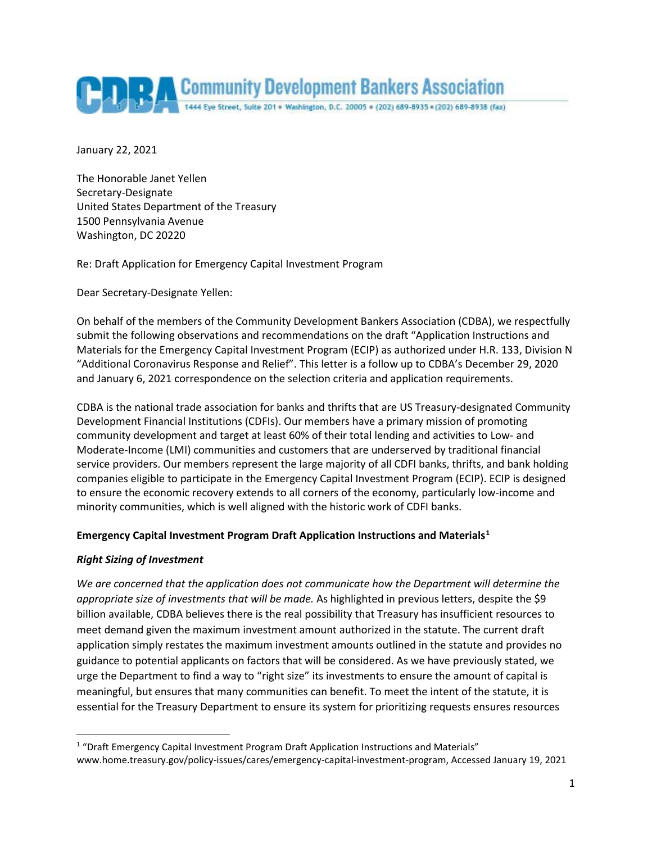

January 22, 2021

The Honorable Janet Yellen Secretary-Designate United States Department of the Treasury 1500 Pennsylvania Avenue Washington, DC 20220

Re: Draft Application for Emergency Capital Investment Program

Dear Secretary-Designate Yellen:

On behalf of the members of the Community Development Bankers Association (CDBA), we respectfully submit the following observations and recommendations on the draft "Application Instructions and Materials for the Emergency Capital Investment Program (ECIP) as authorized under H.R. 133, Division N "Additional Coronavirus Response and Relief". This letter is a follow up to CDBA's December 29, 2020 and January 6, 2021 correspondence on the selection criteria and application requirements.

CDBA is the national trade association for banks and thrifts that are US Treasury-designated Community Development Financial Institutions (CDFIs). Our members have a primary mission of promoting community development and target at least 60% of their total lending and activities to Low- and Moderate-Income (LMI) communities and customers that are underserved by traditional financial service providers. Our members represent the large majority of all CDFI banks, thrifts, and bank holding companies eligible to participate in the Emergency Capital Investment Program (ECIP). ECIP is designed to ensure the economic recovery extends to all corners of the economy, particularly low-income and minority communities, which is well aligned with the historic work of CDFI banks.

#### **Emergency Capital Investment Program Draft Application Instructions and Materials[1](#page-0-0)**

#### *Right Sizing of Investment*

*We are concerned that the application does not communicate how the Department will determine the appropriate size of investments that will be made.* As highlighted in previous letters, despite the \$9 billion available, CDBA believes there is the real possibility that Treasury has insufficient resources to meet demand given the maximum investment amount authorized in the statute. The current draft application simply restates the maximum investment amounts outlined in the statute and provides no guidance to potential applicants on factors that will be considered. As we have previously stated, we urge the Department to find a way to "right size" its investments to ensure the amount of capital is meaningful, but ensures that many communities can benefit. To meet the intent of the statute, it is essential for the Treasury Department to ensure its system for prioritizing requests ensures resources

<span id="page-0-0"></span><sup>&</sup>lt;sup>1</sup> "Draft Emergency Capital Investment Program Draft Application Instructions and Materials" www.home.treasury.gov/policy-issues/cares/emergency-capital-investment-program, Accessed January 19, 2021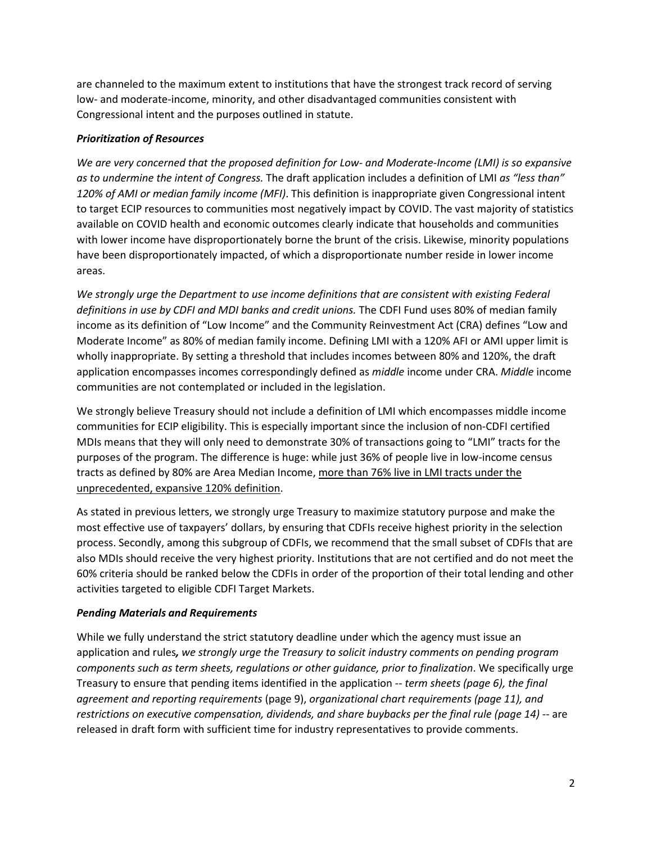are channeled to the maximum extent to institutions that have the strongest track record of serving low- and moderate-income, minority, and other disadvantaged communities consistent with Congressional intent and the purposes outlined in statute.

# *Prioritization of Resources*

*We are very concerned that the proposed definition for Low- and Moderate-Income (LMI) is so expansive as to undermine the intent of Congress.* The draft application includes a definition of LMI *as "less than" 120% of AMI or median family income (MFI)*. This definition is inappropriate given Congressional intent to target ECIP resources to communities most negatively impact by COVID. The vast majority of statistics available on COVID health and economic outcomes clearly indicate that households and communities with lower income have disproportionately borne the brunt of the crisis. Likewise, minority populations have been disproportionately impacted, of which a disproportionate number reside in lower income areas.

*We strongly urge the Department to use income definitions that are consistent with existing Federal definitions in use by CDFI and MDI banks and credit unions.* The CDFI Fund uses 80% of median family income as its definition of "Low Income" and the Community Reinvestment Act (CRA) defines "Low and Moderate Income" as 80% of median family income. Defining LMI with a 120% AFI or AMI upper limit is wholly inappropriate. By setting a threshold that includes incomes between 80% and 120%, the draft application encompasses incomes correspondingly defined as *middle* income under CRA. *Middle* income communities are not contemplated or included in the legislation.

We strongly believe Treasury should not include a definition of LMI which encompasses middle income communities for ECIP eligibility. This is especially important since the inclusion of non-CDFI certified MDIs means that they will only need to demonstrate 30% of transactions going to "LMI" tracts for the purposes of the program. The difference is huge: while just 36% of people live in low-income census tracts as defined by 80% are Area Median Income, more than 76% live in LMI tracts under the unprecedented, expansive 120% definition.

As stated in previous letters, we strongly urge Treasury to maximize statutory purpose and make the most effective use of taxpayers' dollars, by ensuring that CDFIs receive highest priority in the selection process. Secondly, among this subgroup of CDFIs, we recommend that the small subset of CDFIs that are also MDIs should receive the very highest priority. Institutions that are not certified and do not meet the 60% criteria should be ranked below the CDFIs in order of the proportion of their total lending and other activities targeted to eligible CDFI Target Markets.

# *Pending Materials and Requirements*

While we fully understand the strict statutory deadline under which the agency must issue an application and rules*, we strongly urge the Treasury to solicit industry comments on pending program components such as term sheets, regulations or other guidance, prior to finalization*. We specifically urge Treasury to ensure that pending items identified in the application -- *term sheets (page 6), the final agreement and reporting requirements* (page 9), *organizational chart requirements (page 11), and restrictions on executive compensation, dividends, and share buybacks per the final rule (page 14)* -- are released in draft form with sufficient time for industry representatives to provide comments.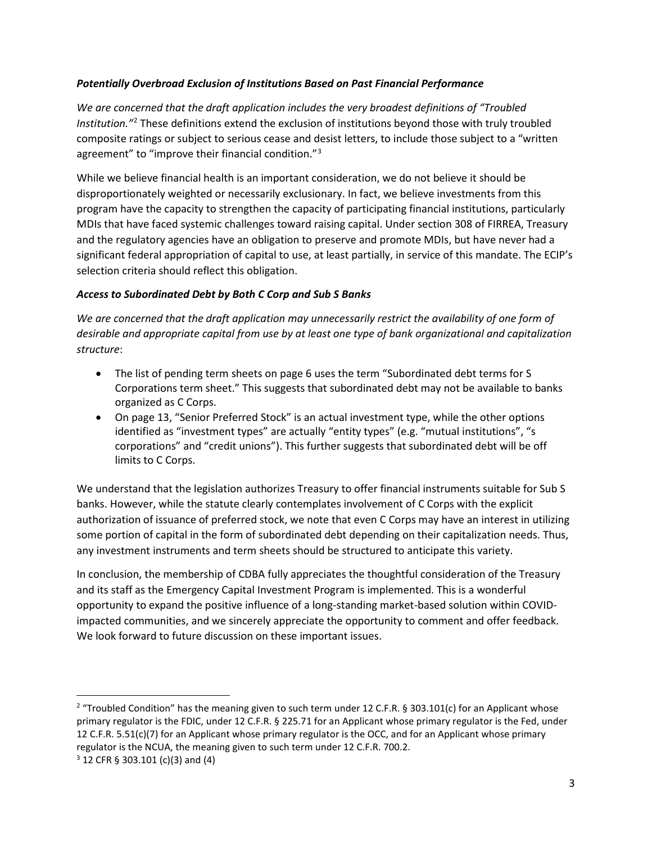### *Potentially Overbroad Exclusion of Institutions Based on Past Financial Performance*

*We are concerned that the draft application includes the very broadest definitions of "Troubled Institution."*[2](#page-2-0) These definitions extend the exclusion of institutions beyond those with truly troubled composite ratings or subject to serious cease and desist letters, to include those subject to a "written agreement" to "improve their financial condition."<sup>[3](#page-2-1)</sup>

While we believe financial health is an important consideration, we do not believe it should be disproportionately weighted or necessarily exclusionary. In fact, we believe investments from this program have the capacity to strengthen the capacity of participating financial institutions, particularly MDIs that have faced systemic challenges toward raising capital. Under section 308 of FIRREA, Treasury and the regulatory agencies have an obligation to preserve and promote MDIs, but have never had a significant federal appropriation of capital to use, at least partially, in service of this mandate. The ECIP's selection criteria should reflect this obligation.

### *Access to Subordinated Debt by Both C Corp and Sub S Banks*

*We are concerned that the draft application may unnecessarily restrict the availability of one form of desirable and appropriate capital from use by at least one type of bank organizational and capitalization structure*:

- The list of pending term sheets on page 6 uses the term "Subordinated debt terms for S Corporations term sheet." This suggests that subordinated debt may not be available to banks organized as C Corps.
- On page 13, "Senior Preferred Stock" is an actual investment type, while the other options identified as "investment types" are actually "entity types" (e.g. "mutual institutions", "s corporations" and "credit unions"). This further suggests that subordinated debt will be off limits to C Corps.

We understand that the legislation authorizes Treasury to offer financial instruments suitable for Sub S banks. However, while the statute clearly contemplates involvement of C Corps with the explicit authorization of issuance of preferred stock, we note that even C Corps may have an interest in utilizing some portion of capital in the form of subordinated debt depending on their capitalization needs. Thus, any investment instruments and term sheets should be structured to anticipate this variety.

In conclusion, the membership of CDBA fully appreciates the thoughtful consideration of the Treasury and its staff as the Emergency Capital Investment Program is implemented. This is a wonderful opportunity to expand the positive influence of a long-standing market-based solution within COVIDimpacted communities, and we sincerely appreciate the opportunity to comment and offer feedback. We look forward to future discussion on these important issues.

<span id="page-2-0"></span><sup>&</sup>lt;sup>2</sup> "Troubled Condition" has the meaning given to such term under 12 C.F.R. § 303.101(c) for an Applicant whose primary regulator is the FDIC, under 12 C.F.R. § 225.71 for an Applicant whose primary regulator is the Fed, under 12 C.F.R. 5.51(c)(7) for an Applicant whose primary regulator is the OCC, and for an Applicant whose primary regulator is the NCUA, the meaning given to such term under 12 C.F.R. 700.2.

<span id="page-2-1"></span> $3$  12 CFR § 303.101 (c)(3) and (4)